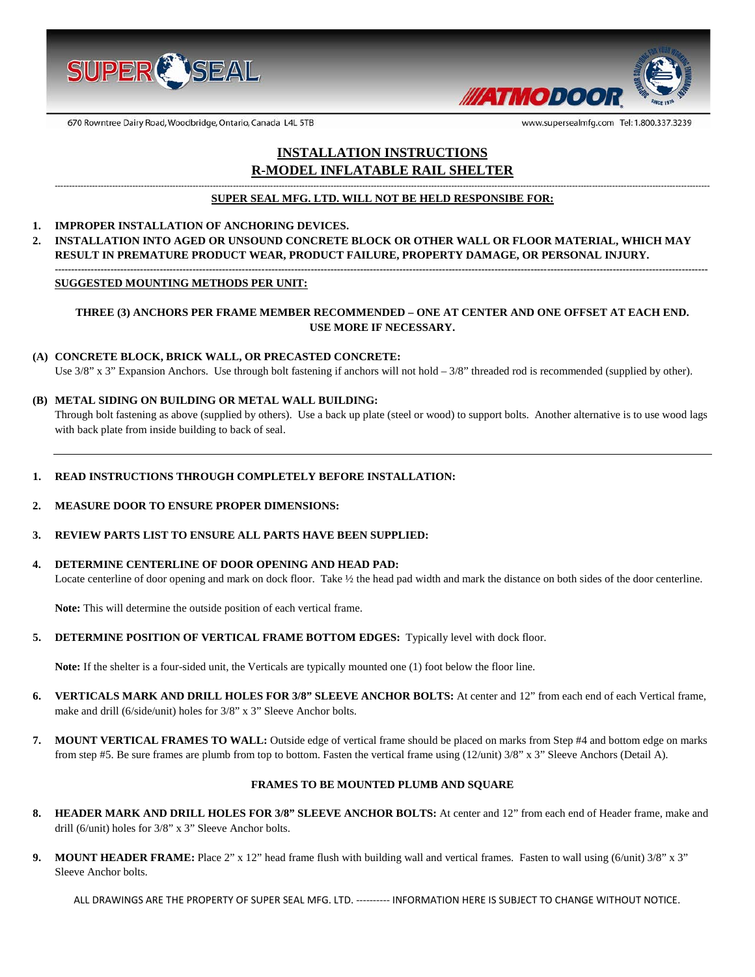



www.supersealmfg.com Tel: 1.800.337.3239

670 Rowntree Dairy Road, Woodbridge, Ontario, Canada L4L 5TB

# **INSTALLATION INSTRUCTIONS R-MODEL INFLATABLE RAIL SHELTER**

#### **------------------------------------------------------------------------------------------------------------------------------------------------------------------------------------------------------------------------------------ SUPER SEAL MFG. LTD. WILL NOT BE HELD RESPONSIBE FOR:**

### **1. IMPROPER INSTALLATION OF ANCHORING DEVICES.**

**2. INSTALLATION INTO AGED OR UNSOUND CONCRETE BLOCK OR OTHER WALL OR FLOOR MATERIAL, WHICH MAY RESULT IN PREMATURE PRODUCT WEAR, PRODUCT FAILURE, PROPERTY DAMAGE, OR PERSONAL INJURY. -------------------------------------------------------------------------------------------------------------------------------------------------------------------------------------------------------**

#### **SUGGESTED MOUNTING METHODS PER UNIT:**

# **THREE (3) ANCHORS PER FRAME MEMBER RECOMMENDED – ONE AT CENTER AND ONE OFFSET AT EACH END. USE MORE IF NECESSARY.**

#### **(A) CONCRETE BLOCK, BRICK WALL, OR PRECASTED CONCRETE:**

Use  $3/8$ " x  $3$ " Expansion Anchors. Use through bolt fastening if anchors will not hold  $-3/8$ " threaded rod is recommended (supplied by other).

# **(B) METAL SIDING ON BUILDING OR METAL WALL BUILDING:**

Through bolt fastening as above (supplied by others). Use a back up plate (steel or wood) to support bolts. Another alternative is to use wood lags with back plate from inside building to back of seal.

# **1. READ INSTRUCTIONS THROUGH COMPLETELY BEFORE INSTALLATION:**

# **2. MEASURE DOOR TO ENSURE PROPER DIMENSIONS:**

# **3. REVIEW PARTS LIST TO ENSURE ALL PARTS HAVE BEEN SUPPLIED:**

#### **4. DETERMINE CENTERLINE OF DOOR OPENING AND HEAD PAD:**

Locate centerline of door opening and mark on dock floor. Take  $\frac{1}{2}$  the head pad width and mark the distance on both sides of the door centerline.

**Note:** This will determine the outside position of each vertical frame.

**5. DETERMINE POSITION OF VERTICAL FRAME BOTTOM EDGES:** Typically level with dock floor.

**Note:** If the shelter is a four-sided unit, the Verticals are typically mounted one (1) foot below the floor line.

- **6. VERTICALS MARK AND DRILL HOLES FOR 3/8" SLEEVE ANCHOR BOLTS:** At center and 12" from each end of each Vertical frame, make and drill (6/side/unit) holes for 3/8" x 3" Sleeve Anchor bolts.
- **7. MOUNT VERTICAL FRAMES TO WALL:** Outside edge of vertical frame should be placed on marks from Step #4 and bottom edge on marks from step #5. Be sure frames are plumb from top to bottom. Fasten the vertical frame using (12/unit) 3/8" x 3" Sleeve Anchors (Detail A).

# **FRAMES TO BE MOUNTED PLUMB AND SQUARE**

- **8. HEADER MARK AND DRILL HOLES FOR 3/8" SLEEVE ANCHOR BOLTS:** At center and 12" from each end of Header frame, make and drill (6/unit) holes for 3/8" x 3" Sleeve Anchor bolts.
- **9.** MOUNT HEADER FRAME: Place 2" x 12" head frame flush with building wall and vertical frames. Fasten to wall using (6/unit) 3/8" x 3" Sleeve Anchor bolts.

ALL DRAWINGS ARE THE PROPERTY OF SUPER SEAL MFG. LTD. ---------- INFORMATION HERE IS SUBJECT TO CHANGE WITHOUT NOTICE.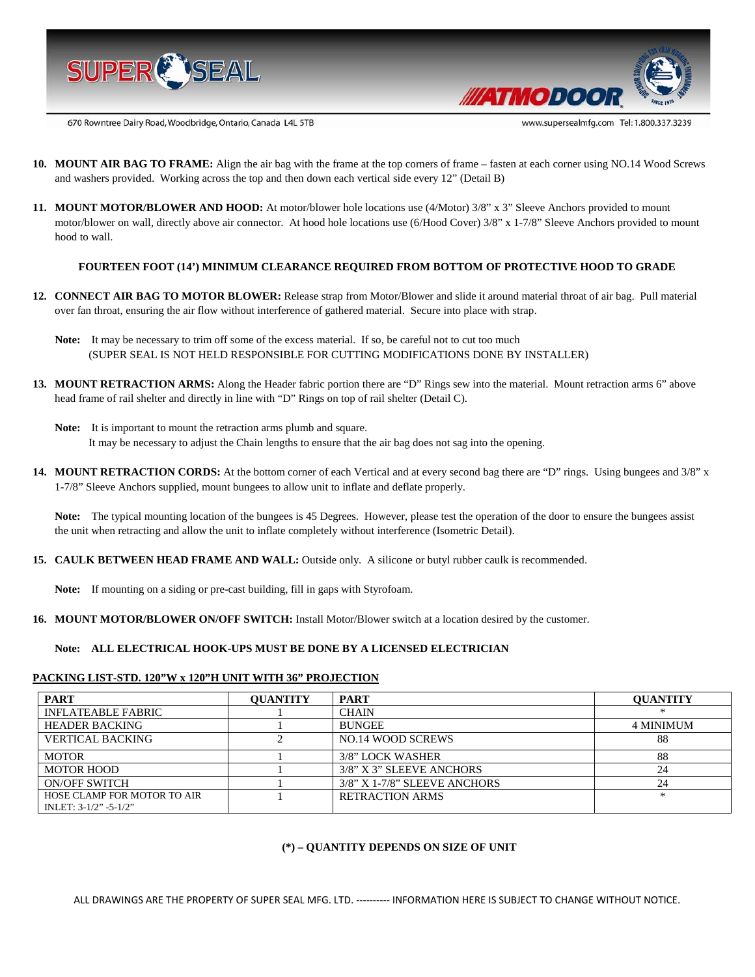



670 Rowntree Dairy Road, Woodbridge, Ontario, Canada L4L 5TB

- **10. MOUNT AIR BAG TO FRAME:** Align the air bag with the frame at the top corners of frame fasten at each corner using NO.14 Wood Screws and washers provided. Working across the top and then down each vertical side every 12" (Detail B)
- **11. MOUNT MOTOR/BLOWER AND HOOD:** At motor/blower hole locations use (4/Motor) 3/8" x 3" Sleeve Anchors provided to mount motor/blower on wall, directly above air connector. At hood hole locations use (6/Hood Cover) 3/8" x 1-7/8" Sleeve Anchors provided to mount hood to wall.

# **FOURTEEN FOOT (14') MINIMUM CLEARANCE REQUIRED FROM BOTTOM OF PROTECTIVE HOOD TO GRADE**

- **12. CONNECT AIR BAG TO MOTOR BLOWER:** Release strap from Motor/Blower and slide it around material throat of air bag. Pull material over fan throat, ensuring the air flow without interference of gathered material. Secure into place with strap.
	- Note: It may be necessary to trim off some of the excess material. If so, be careful not to cut too much (SUPER SEAL IS NOT HELD RESPONSIBLE FOR CUTTING MODIFICATIONS DONE BY INSTALLER)
- **13. MOUNT RETRACTION ARMS:** Along the Header fabric portion there are "D" Rings sew into the material. Mount retraction arms 6" above head frame of rail shelter and directly in line with "D" Rings on top of rail shelter (Detail C).
	- **Note:** It is important to mount the retraction arms plumb and square. It may be necessary to adjust the Chain lengths to ensure that the air bag does not sag into the opening.
- **14. MOUNT RETRACTION CORDS:** At the bottom corner of each Vertical and at every second bag there are "D" rings. Using bungees and 3/8" x 1-7/8" Sleeve Anchors supplied, mount bungees to allow unit to inflate and deflate properly.

Note: The typical mounting location of the bungees is 45 Degrees. However, please test the operation of the door to ensure the bungees assist the unit when retracting and allow the unit to inflate completely without interference (Isometric Detail).

**15. CAULK BETWEEN HEAD FRAME AND WALL:** Outside only. A silicone or butyl rubber caulk is recommended.

**Note:** If mounting on a siding or pre-cast building, fill in gaps with Styrofoam.

**16. MOUNT MOTOR/BLOWER ON/OFF SWITCH:** Install Motor/Blower switch at a location desired by the customer.

#### **Note: ALL ELECTRICAL HOOK-UPS MUST BE DONE BY A LICENSED ELECTRICIAN**

#### **PACKING LIST-STD. 120"W x 120"H UNIT WITH 36" PROJECTION**

| <b>PART</b>                                                | <b>OUANTITY</b> | <b>PART</b>                  | <b>OUANTITY</b>  |
|------------------------------------------------------------|-----------------|------------------------------|------------------|
| INFLATEABLE FABRIC                                         |                 | <b>CHAIN</b>                 | *                |
| <b>HEADER BACKING</b>                                      |                 | <b>BUNGEE</b>                | <b>4 MINIMUM</b> |
| <b>VERTICAL BACKING</b>                                    |                 | NO.14 WOOD SCREWS            | 88               |
| <b>MOTOR</b>                                               |                 | 3/8" LOCK WASHER             | 88               |
| MOTOR HOOD                                                 |                 | 3/8" X 3" SLEEVE ANCHORS     | 24               |
| <b>ON/OFF SWITCH</b>                                       |                 | 3/8" X 1-7/8" SLEEVE ANCHORS | 24               |
| HOSE CLAMP FOR MOTOR TO AIR<br>INLET: $3-1/2$ " $-5-1/2$ " |                 | <b>RETRACTION ARMS</b>       | *                |

#### **(\*) – QUANTITY DEPENDS ON SIZE OF UNIT**

ALL DRAWINGS ARE THE PROPERTY OF SUPER SEAL MFG. LTD. ---------- INFORMATION HERE IS SUBJECT TO CHANGE WITHOUT NOTICE.